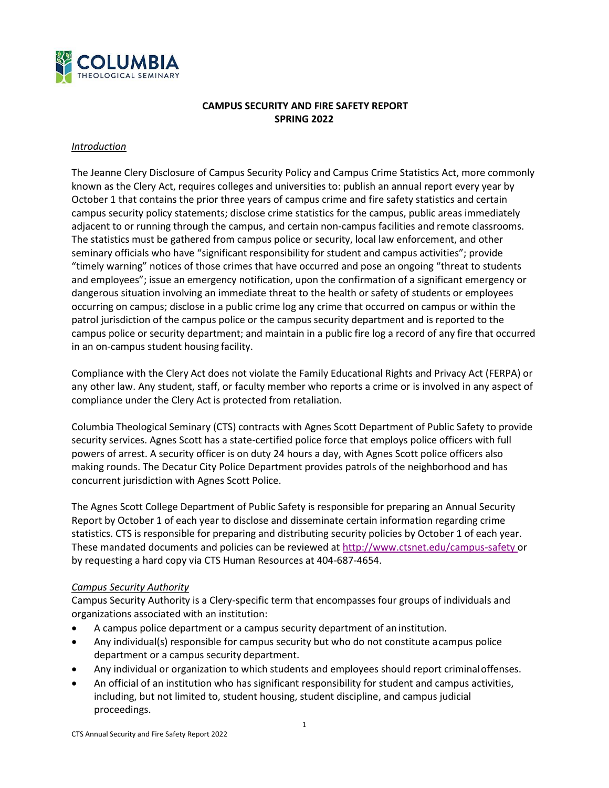

# **CAMPUS SECURITY AND FIRE SAFETY REPORT SPRING 2022**

#### *Introduction*

The Jeanne Clery Disclosure of Campus Security Policy and Campus Crime Statistics Act, more commonly known as the Clery Act, requires colleges and universities to: publish an annual report every year by October 1 that contains the prior three years of campus crime and fire safety statistics and certain campus security policy statements; disclose crime statistics for the campus, public areas immediately adjacent to or running through the campus, and certain non-campus facilities and remote classrooms. The statistics must be gathered from campus police or security, local law enforcement, and other seminary officials who have "significant responsibility for student and campus activities"; provide "timely warning" notices of those crimes that have occurred and pose an ongoing "threat to students and employees"; issue an emergency notification, upon the confirmation of a significant emergency or dangerous situation involving an immediate threat to the health or safety of students or employees occurring on campus; disclose in a public crime log any crime that occurred on campus or within the patrol jurisdiction of the campus police or the campus security department and is reported to the campus police or security department; and maintain in a public fire log a record of any fire that occurred in an on-campus student housing facility.

Compliance with the Clery Act does not violate the Family Educational Rights and Privacy Act (FERPA) or any other law. Any student, staff, or faculty member who reports a crime or is involved in any aspect of compliance under the Clery Act is protected from retaliation.

Columbia Theological Seminary (CTS) contracts with Agnes Scott Department of Public Safety to provide security services. Agnes Scott has a state-certified police force that employs police officers with full powers of arrest. A security officer is on duty 24 hours a day, with Agnes Scott police officers also making rounds. The Decatur City Police Department provides patrols of the neighborhood and has concurrent jurisdiction with Agnes Scott Police.

The Agnes Scott College Department of Public Safety is responsible for preparing an Annual Security Report by October 1 of each year to disclose and disseminate certain information regarding crime statistics. CTS is responsible for preparing and distributing security policies by October 1 of each year. These mandated documents and policies can be reviewed at [http://www.ctsnet.edu/campus-safety o](http://www.ctsnet.edu/campus-safety)r by requesting a hard copy via CTS Human Resources at 404-687-4654.

### *Campus Security Authority*

Campus Security Authority is a Clery-specific term that encompasses four groups of individuals and organizations associated with an institution:

- A campus police department or a campus security department of an institution.
- Any individual(s) responsible for campus security but who do not constitute acampus police department or a campus security department.
- Any individual or organization to which students and employees should report criminaloffenses.
- An official of an institution who has significant responsibility for student and campus activities, including, but not limited to, student housing, student discipline, and campus judicial proceedings.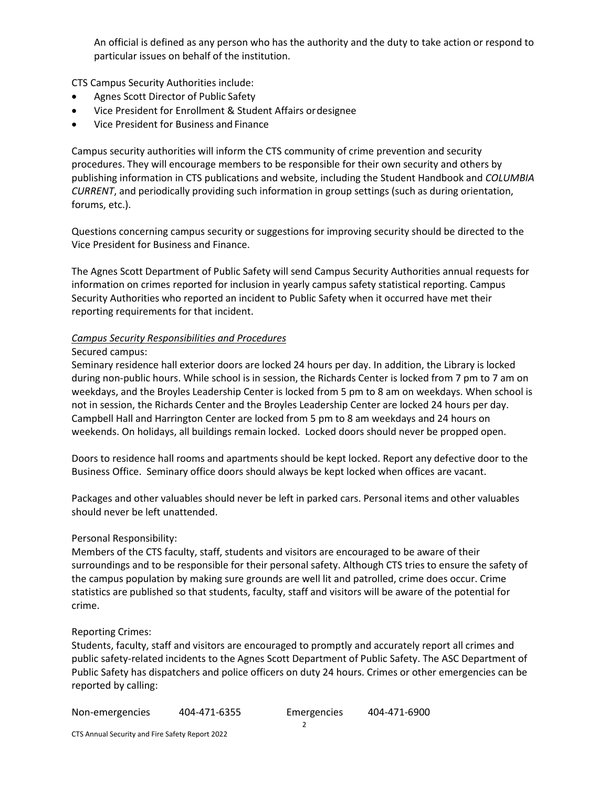An official is defined as any person who has the authority and the duty to take action or respond to particular issues on behalf of the institution.

CTS Campus Security Authorities include:

- Agnes Scott Director of Public Safety
- Vice President for Enrollment & Student Affairs ordesignee
- Vice President for Business and Finance

Campus security authorities will inform the CTS community of crime prevention and security procedures. They will encourage members to be responsible for their own security and others by publishing information in CTS publications and website, including the Student Handbook and *COLUMBIA CURRENT*, and periodically providing such information in group settings (such as during orientation, forums, etc.).

Questions concerning campus security or suggestions for improving security should be directed to the Vice President for Business and Finance.

The Agnes Scott Department of Public Safety will send Campus Security Authorities annual requests for information on crimes reported for inclusion in yearly campus safety statistical reporting. Campus Security Authorities who reported an incident to Public Safety when it occurred have met their reporting requirements for that incident.

### *Campus Security Responsibilities and Procedures*

#### Secured campus:

Seminary residence hall exterior doors are locked 24 hours per day. In addition, the Library is locked during non-public hours. While school is in session, the Richards Center is locked from 7 pm to 7 am on weekdays, and the Broyles Leadership Center is locked from 5 pm to 8 am on weekdays. When school is not in session, the Richards Center and the Broyles Leadership Center are locked 24 hours per day. Campbell Hall and Harrington Center are locked from 5 pm to 8 am weekdays and 24 hours on weekends. On holidays, all buildings remain locked. Locked doors should never be propped open.

Doors to residence hall rooms and apartments should be kept locked. Report any defective door to the Business Office. Seminary office doors should always be kept locked when offices are vacant.

Packages and other valuables should never be left in parked cars. Personal items and other valuables should never be left unattended.

### Personal Responsibility:

Members of the CTS faculty, staff, students and visitors are encouraged to be aware of their surroundings and to be responsible for their personal safety. Although CTS tries to ensure the safety of the campus population by making sure grounds are well lit and patrolled, crime does occur. Crime statistics are published so that students, faculty, staff and visitors will be aware of the potential for crime.

### Reporting Crimes:

Students, faculty, staff and visitors are encouraged to promptly and accurately report all crimes and public safety-related incidents to the Agnes Scott Department of Public Safety. The ASC Department of Public Safety has dispatchers and police officers on duty 24 hours. Crimes or other emergencies can be reported by calling:

| Non-emergencies | 404-471-6355 | Emergencies | 404-471-6900 |
|-----------------|--------------|-------------|--------------|
|                 |              |             |              |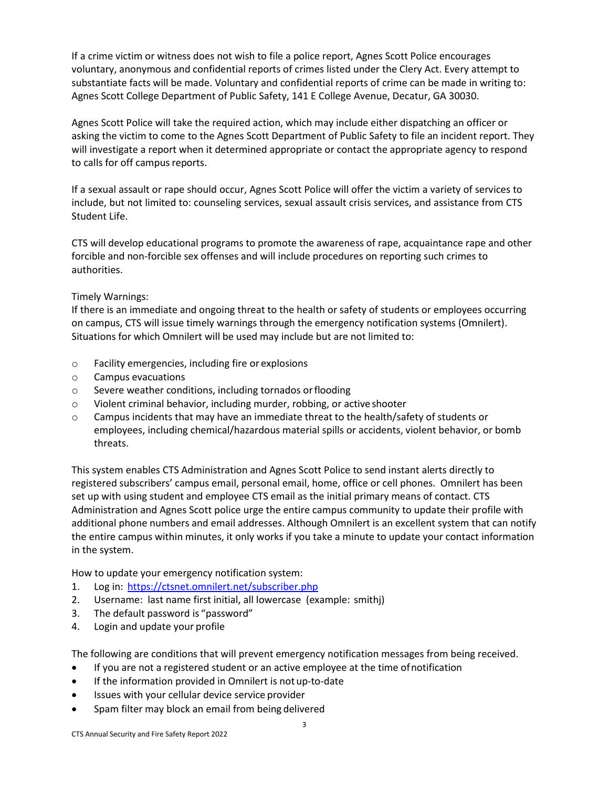If a crime victim or witness does not wish to file a police report, Agnes Scott Police encourages voluntary, anonymous and confidential reports of crimes listed under the Clery Act. Every attempt to substantiate facts will be made. Voluntary and confidential reports of crime can be made in writing to: Agnes Scott College Department of Public Safety, 141 E College Avenue, Decatur, GA 30030.

Agnes Scott Police will take the required action, which may include either dispatching an officer or asking the victim to come to the Agnes Scott Department of Public Safety to file an incident report. They will investigate a report when it determined appropriate or contact the appropriate agency to respond to calls for off campus reports.

If a sexual assault or rape should occur, Agnes Scott Police will offer the victim a variety of services to include, but not limited to: counseling services, sexual assault crisis services, and assistance from CTS Student Life.

CTS will develop educational programs to promote the awareness of rape, acquaintance rape and other forcible and non-forcible sex offenses and will include procedures on reporting such crimes to authorities.

# Timely Warnings:

If there is an immediate and ongoing threat to the health or safety of students or employees occurring on campus, CTS will issue timely warnings through the emergency notification systems (Omnilert). Situations for which Omnilert will be used may include but are not limited to:

- o Facility emergencies, including fire or explosions
- o Campus evacuations
- o Severe weather conditions, including tornados orflooding
- o Violent criminal behavior, including murder, robbing, or active shooter
- $\circ$  Campus incidents that may have an immediate threat to the health/safety of students or employees, including chemical/hazardous material spills or accidents, violent behavior, or bomb threats.

This system enables CTS Administration and Agnes Scott Police to send instant alerts directly to registered subscribers' campus email, personal email, home, office or cell phones. Omnilert has been set up with using student and employee CTS email as the initial primary means of contact. CTS Administration and Agnes Scott police urge the entire campus community to update their profile with additional phone numbers and email addresses. Although Omnilert is an excellent system that can notify the entire campus within minutes, it only works if you take a minute to update your contact information in the system.

How to update your emergency notification system:

- 1. Log in: <https://ctsnet.omnilert.net/subscriber.php>
- 2. Username: last name first initial, all lowercase (example: smithj)
- 3. The default password is "password"
- 4. Login and update your profile

The following are conditions that will prevent emergency notification messages from being received.

- If you are not a registered student or an active employee at the time ofnotification
- If the information provided in Omnilert is not up-to-date
- Issues with your cellular device service provider
- Spam filter may block an email from being delivered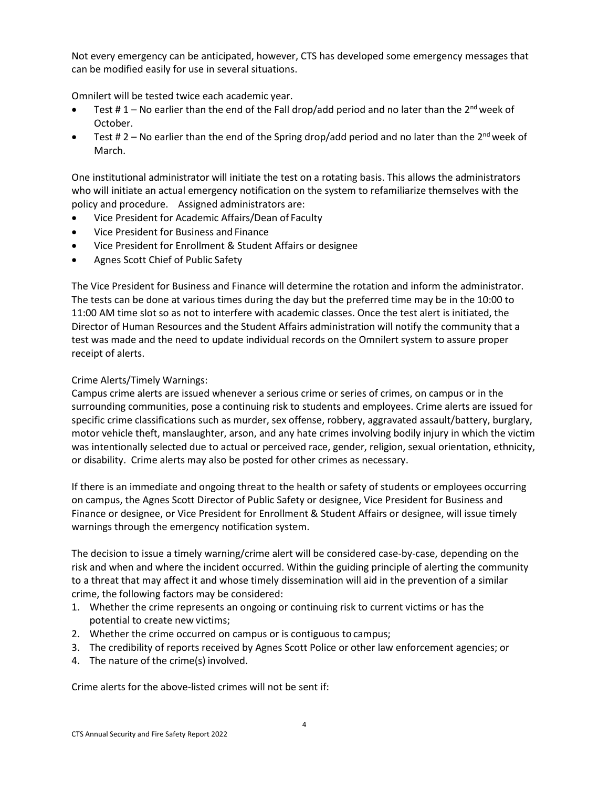Not every emergency can be anticipated, however, CTS has developed some emergency messages that can be modified easily for use in several situations.

Omnilert will be tested twice each academic year.

- Test # 1 No earlier than the end of the Fall drop/add period and no later than the 2<sup>nd</sup> week of October.
- Test # 2 No earlier than the end of the Spring drop/add period and no later than the 2<sup>nd</sup> week of March.

One institutional administrator will initiate the test on a rotating basis. This allows the administrators who will initiate an actual emergency notification on the system to refamiliarize themselves with the policy and procedure. Assigned administrators are:

- Vice President for Academic Affairs/Dean of Faculty
- Vice President for Business and Finance
- Vice President for Enrollment & Student Affairs or designee
- Agnes Scott Chief of Public Safety

The Vice President for Business and Finance will determine the rotation and inform the administrator. The tests can be done at various times during the day but the preferred time may be in the 10:00 to 11:00 AM time slot so as not to interfere with academic classes. Once the test alert is initiated, the Director of Human Resources and the Student Affairs administration will notify the community that a test was made and the need to update individual records on the Omnilert system to assure proper receipt of alerts.

### Crime Alerts/Timely Warnings:

Campus crime alerts are issued whenever a serious crime or series of crimes, on campus or in the surrounding communities, pose a continuing risk to students and employees. Crime alerts are issued for specific crime classifications such as murder, sex offense, robbery, aggravated assault/battery, burglary, motor vehicle theft, manslaughter, arson, and any hate crimes involving bodily injury in which the victim was intentionally selected due to actual or perceived race, gender, religion, sexual orientation, ethnicity, or disability. Crime alerts may also be posted for other crimes as necessary.

If there is an immediate and ongoing threat to the health or safety of students or employees occurring on campus, the Agnes Scott Director of Public Safety or designee, Vice President for Business and Finance or designee, or Vice President for Enrollment & Student Affairs or designee, will issue timely warnings through the emergency notification system.

The decision to issue a timely warning/crime alert will be considered case-by-case, depending on the risk and when and where the incident occurred. Within the guiding principle of alerting the community to a threat that may affect it and whose timely dissemination will aid in the prevention of a similar crime, the following factors may be considered:

- 1. Whether the crime represents an ongoing or continuing risk to current victims or has the potential to create new victims;
- 2. Whether the crime occurred on campus or is contiguous to campus;
- 3. The credibility of reports received by Agnes Scott Police or other law enforcement agencies; or
- 4. The nature of the crime(s) involved.

Crime alerts for the above-listed crimes will not be sent if: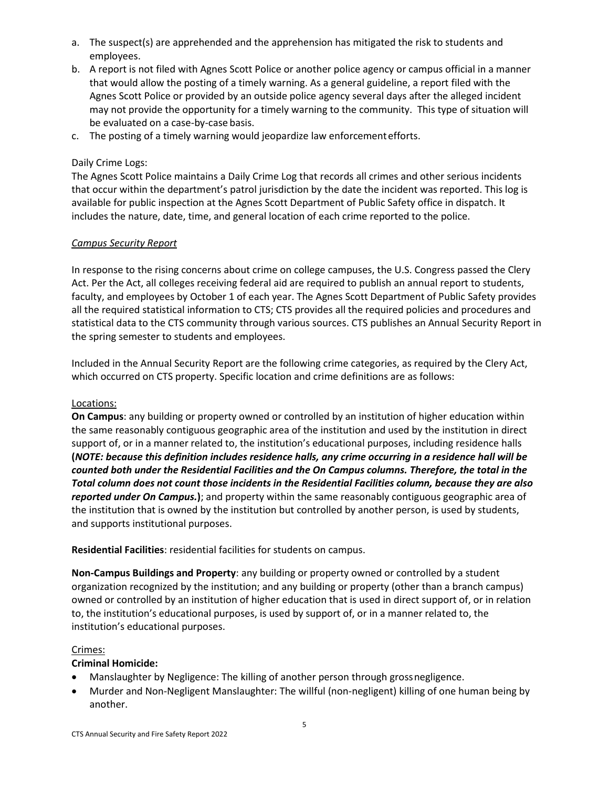- a. The suspect(s) are apprehended and the apprehension has mitigated the risk to students and employees.
- b. A report is not filed with Agnes Scott Police or another police agency or campus official in a manner that would allow the posting of a timely warning. As a general guideline, a report filed with the Agnes Scott Police or provided by an outside police agency several days after the alleged incident may not provide the opportunity for a timely warning to the community. This type of situation will be evaluated on a case-by-case basis.
- c. The posting of a timely warning would jeopardize law enforcementefforts.

## Daily Crime Logs:

The Agnes Scott Police maintains a Daily Crime Log that records all crimes and other serious incidents that occur within the department's patrol jurisdiction by the date the incident was reported. This log is available for public inspection at the Agnes Scott Department of Public Safety office in dispatch. It includes the nature, date, time, and general location of each crime reported to the police.

### *Campus Security Report*

In response to the rising concerns about crime on college campuses, the U.S. Congress passed the Clery Act. Per the Act, all colleges receiving federal aid are required to publish an annual report to students, faculty, and employees by October 1 of each year. The Agnes Scott Department of Public Safety provides all the required statistical information to CTS; CTS provides all the required policies and procedures and statistical data to the CTS community through various sources. CTS publishes an Annual Security Report in the spring semester to students and employees.

Included in the Annual Security Report are the following crime categories, as required by the Clery Act, which occurred on CTS property. Specific location and crime definitions are as follows:

### Locations:

**On Campus**: any building or property owned or controlled by an institution of higher education within the same reasonably contiguous geographic area of the institution and used by the institution in direct support of, or in a manner related to, the institution's educational purposes, including residence halls **(***NOTE: because this definition includes residence halls, any crime occurring in a residence hall will be counted both under the Residential Facilities and the On Campus columns. Therefore, the total in the Total column does not count those incidents in the Residential Facilities column, because they are also reported under On Campus.***)**; and property within the same reasonably contiguous geographic area of the institution that is owned by the institution but controlled by another person, is used by students, and supports institutional purposes.

**Residential Facilities**: residential facilities for students on campus.

**Non-Campus Buildings and Property**: any building or property owned or controlled by a student organization recognized by the institution; and any building or property (other than a branch campus) owned or controlled by an institution of higher education that is used in direct support of, or in relation to, the institution's educational purposes, is used by support of, or in a manner related to, the institution's educational purposes.

### Crimes:

### **Criminal Homicide:**

- Manslaughter by Negligence: The killing of another person through grossnegligence.
- Murder and Non-Negligent Manslaughter: The willful (non-negligent) killing of one human being by another.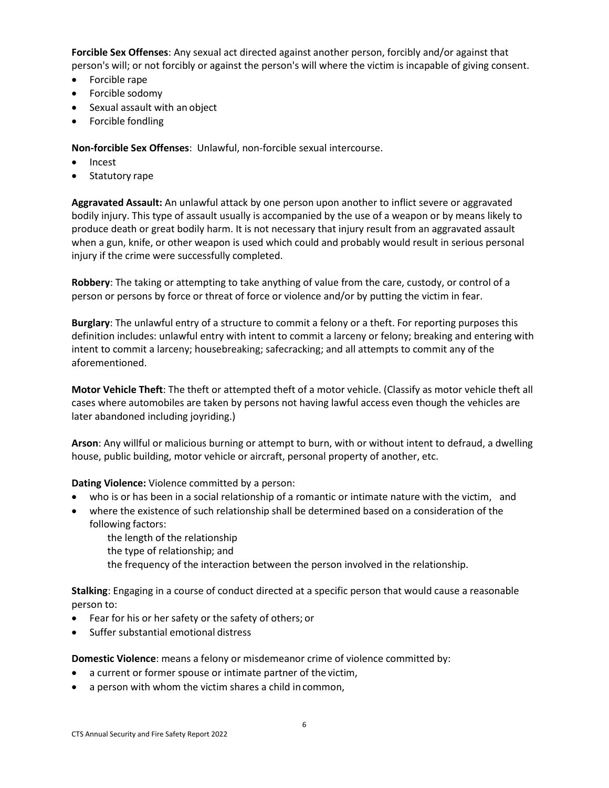**Forcible Sex Offenses**: Any sexual act directed against another person, forcibly and/or against that person's will; or not forcibly or against the person's will where the victim is incapable of giving consent.

- Forcible rape
- Forcible sodomy
- Sexual assault with an object
- Forcible fondling

**Non-forcible Sex Offenses**: Unlawful, non-forcible sexual intercourse.

- Incest
- Statutory rape

**Aggravated Assault:** An unlawful attack by one person upon another to inflict severe or aggravated bodily injury. This type of assault usually is accompanied by the use of a weapon or by means likely to produce death or great bodily harm. It is not necessary that injury result from an aggravated assault when a gun, knife, or other weapon is used which could and probably would result in serious personal injury if the crime were successfully completed.

**Robbery**: The taking or attempting to take anything of value from the care, custody, or control of a person or persons by force or threat of force or violence and/or by putting the victim in fear.

**Burglary**: The unlawful entry of a structure to commit a felony or a theft. For reporting purposes this definition includes: unlawful entry with intent to commit a larceny or felony; breaking and entering with intent to commit a larceny; housebreaking; safecracking; and all attempts to commit any of the aforementioned.

**Motor Vehicle Theft**: The theft or attempted theft of a motor vehicle. (Classify as motor vehicle theft all cases where automobiles are taken by persons not having lawful access even though the vehicles are later abandoned including joyriding.)

**Arson**: Any willful or malicious burning or attempt to burn, with or without intent to defraud, a dwelling house, public building, motor vehicle or aircraft, personal property of another, etc.

**Dating Violence:** Violence committed by a person:

- who is or has been in a social relationship of a romantic or intimate nature with the victim, and
- where the existence of such relationship shall be determined based on a consideration of the following factors:
	- the length of the relationship
	- the type of relationship; and
	- the frequency of the interaction between the person involved in the relationship.

**Stalking**: Engaging in a course of conduct directed at a specific person that would cause a reasonable person to:

- Fear for his or her safety or the safety of others; or
- Suffer substantial emotional distress

**Domestic Violence**: means a felony or misdemeanor crime of violence committed by:

- a current or former spouse or intimate partner of the victim,
- a person with whom the victim shares a child in common,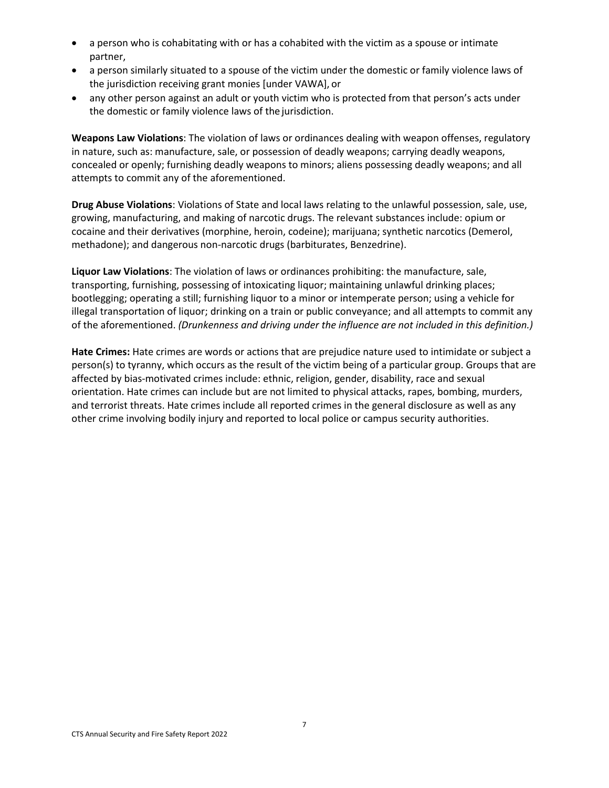- a person who is cohabitating with or has a cohabited with the victim as a spouse or intimate partner,
- a person similarly situated to a spouse of the victim under the domestic or family violence laws of the jurisdiction receiving grant monies [under VAWA], or
- any other person against an adult or youth victim who is protected from that person's acts under the domestic or family violence laws of the jurisdiction.

**Weapons Law Violations**: The violation of laws or ordinances dealing with weapon offenses, regulatory in nature, such as: manufacture, sale, or possession of deadly weapons; carrying deadly weapons, concealed or openly; furnishing deadly weapons to minors; aliens possessing deadly weapons; and all attempts to commit any of the aforementioned.

**Drug Abuse Violations**: Violations of State and local laws relating to the unlawful possession, sale, use, growing, manufacturing, and making of narcotic drugs. The relevant substances include: opium or cocaine and their derivatives (morphine, heroin, codeine); marijuana; synthetic narcotics (Demerol, methadone); and dangerous non-narcotic drugs (barbiturates, Benzedrine).

**Liquor Law Violations**: The violation of laws or ordinances prohibiting: the manufacture, sale, transporting, furnishing, possessing of intoxicating liquor; maintaining unlawful drinking places; bootlegging; operating a still; furnishing liquor to a minor or intemperate person; using a vehicle for illegal transportation of liquor; drinking on a train or public conveyance; and all attempts to commit any of the aforementioned. *(Drunkenness and driving under the influence are not included in this definition.)*

**Hate Crimes:** Hate crimes are words or actions that are prejudice nature used to intimidate or subject a person(s) to tyranny, which occurs as the result of the victim being of a particular group. Groups that are affected by bias-motivated crimes include: ethnic, religion, gender, disability, race and sexual orientation. Hate crimes can include but are not limited to physical attacks, rapes, bombing, murders, and terrorist threats. Hate crimes include all reported crimes in the general disclosure as well as any other crime involving bodily injury and reported to local police or campus security authorities.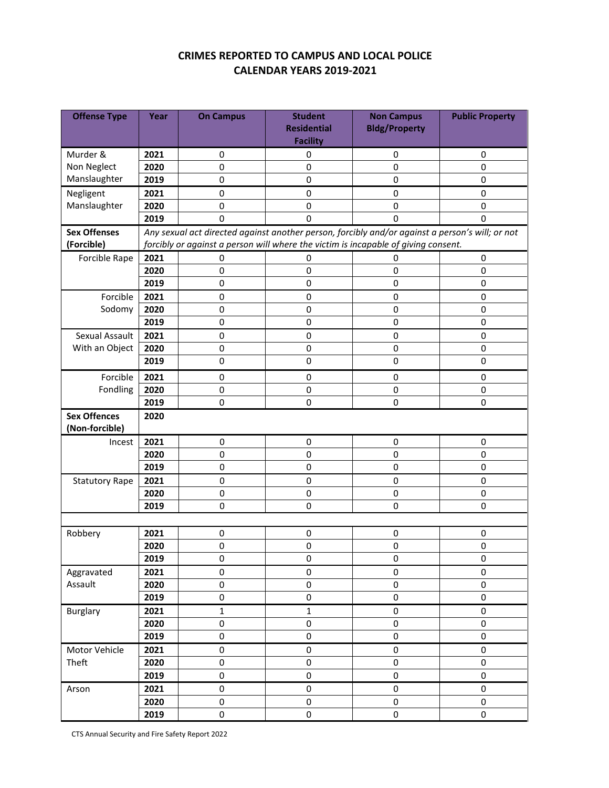# **CRIMES REPORTED TO CAMPUS AND LOCAL POLICE CALENDAR YEARS 2019-2021**

| <b>Offense Type</b>   | Year | <b>On Campus</b>    | <b>Student</b><br><b>Residential</b>                                                            | <b>Non Campus</b><br><b>Bldg/Property</b> | <b>Public Property</b> |
|-----------------------|------|---------------------|-------------------------------------------------------------------------------------------------|-------------------------------------------|------------------------|
|                       |      |                     | <b>Facility</b>                                                                                 |                                           |                        |
| Murder &              | 2021 | $\mathbf 0$         | 0                                                                                               | 0                                         | 0                      |
| Non Neglect           | 2020 | 0                   | $\mathbf 0$                                                                                     | 0                                         | $\Omega$               |
| Manslaughter          | 2019 | $\mathbf 0$         | $\mathbf 0$                                                                                     | 0                                         | 0                      |
| Negligent             | 2021 | 0                   | 0                                                                                               | 0                                         | 0                      |
| Manslaughter          | 2020 | 0                   | $\pmb{0}$                                                                                       | 0                                         | 0                      |
|                       | 2019 | 0                   | 0                                                                                               | 0                                         | 0                      |
| <b>Sex Offenses</b>   |      |                     | Any sexual act directed against another person, forcibly and/or against a person's will; or not |                                           |                        |
| (Forcible)            |      |                     | forcibly or against a person will where the victim is incapable of giving consent.              |                                           |                        |
| Forcible Rape         | 2021 | $\mathbf 0$         | 0                                                                                               | 0                                         | 0                      |
|                       | 2020 | $\mathbf 0$         | $\pmb{0}$                                                                                       | 0                                         | 0                      |
|                       | 2019 | 0                   | $\pmb{0}$                                                                                       | 0                                         | 0                      |
| Forcible              | 2021 | $\pmb{0}$           | $\mathbf 0$                                                                                     | 0                                         | 0                      |
| Sodomy                | 2020 | $\pmb{0}$           | $\pmb{0}$                                                                                       | 0                                         | 0                      |
|                       | 2019 | 0                   | $\mathbf 0$                                                                                     | 0                                         | 0                      |
| Sexual Assault        | 2021 | $\pmb{0}$           | $\pmb{0}$                                                                                       | $\pmb{0}$                                 | 0                      |
| With an Object        | 2020 | 0                   | $\pmb{0}$                                                                                       | 0                                         | 0                      |
|                       | 2019 | 0                   | $\mathbf 0$                                                                                     | 0                                         | 0                      |
| Forcible              | 2021 | $\mathbf 0$         | $\pmb{0}$                                                                                       | 0                                         | 0                      |
| Fondling              | 2020 | 0                   | $\pmb{0}$                                                                                       | 0                                         | 0                      |
|                       | 2019 | 0                   | $\mathbf 0$                                                                                     | 0                                         | 0                      |
| <b>Sex Offences</b>   | 2020 |                     |                                                                                                 |                                           |                        |
| (Non-forcible)        |      |                     |                                                                                                 |                                           |                        |
| Incest                | 2021 | $\pmb{0}$           | 0                                                                                               | 0                                         | 0                      |
|                       | 2020 | $\pmb{0}$           | $\pmb{0}$                                                                                       | 0                                         | 0                      |
|                       | 2019 | $\pmb{0}$           | $\pmb{0}$                                                                                       | 0                                         | 0                      |
| <b>Statutory Rape</b> | 2021 | $\pmb{0}$           | $\pmb{0}$                                                                                       | 0                                         | 0                      |
|                       | 2020 | $\pmb{0}$           | $\pmb{0}$                                                                                       | $\pmb{0}$                                 | 0                      |
|                       | 2019 | 0                   | $\Omega$                                                                                        | 0                                         | 0                      |
|                       |      |                     |                                                                                                 |                                           |                        |
| Robbery               | 2021 | 0                   | 0                                                                                               | 0                                         | 0                      |
|                       | 2020 | 0                   | $\pmb{0}$                                                                                       | 0                                         | 0                      |
|                       | 2019 | $\mathbf 0$         | 0                                                                                               | 0                                         | $\mathsf 0$            |
| Aggravated            | 2021 | $\mathsf 0$         | $\pmb{0}$                                                                                       | 0                                         | 0                      |
| Assault               | 2020 | $\mathbf 0$         | $\mathsf 0$                                                                                     | 0                                         | 0                      |
|                       | 2019 | $\mathsf{O}\xspace$ | $\mathsf{O}\xspace$                                                                             | 0                                         | 0                      |
| <b>Burglary</b>       | 2021 | $\mathbf 1$         | $\mathbf 1$                                                                                     | 0                                         | 0                      |
|                       | 2020 | 0                   | $\pmb{0}$                                                                                       | 0                                         | 0                      |
|                       | 2019 | 0                   | $\pmb{0}$                                                                                       | 0                                         | 0                      |
| Motor Vehicle         | 2021 | 0                   | $\pmb{0}$                                                                                       | 0                                         | 0                      |
| Theft                 | 2020 | 0                   | $\pmb{0}$                                                                                       | 0                                         | 0                      |
|                       | 2019 | $\mathbf 0$         | $\mathbf 0$                                                                                     | 0                                         | $\mathsf 0$            |
| Arson                 | 2021 | $\pmb{0}$           | $\pmb{0}$                                                                                       | 0                                         | 0                      |
|                       | 2020 | 0                   | $\pmb{0}$                                                                                       | 0                                         | 0                      |
|                       | 2019 | 0                   | $\pmb{0}$                                                                                       | 0                                         | 0                      |

CTS Annual Security and Fire Safety Report 2022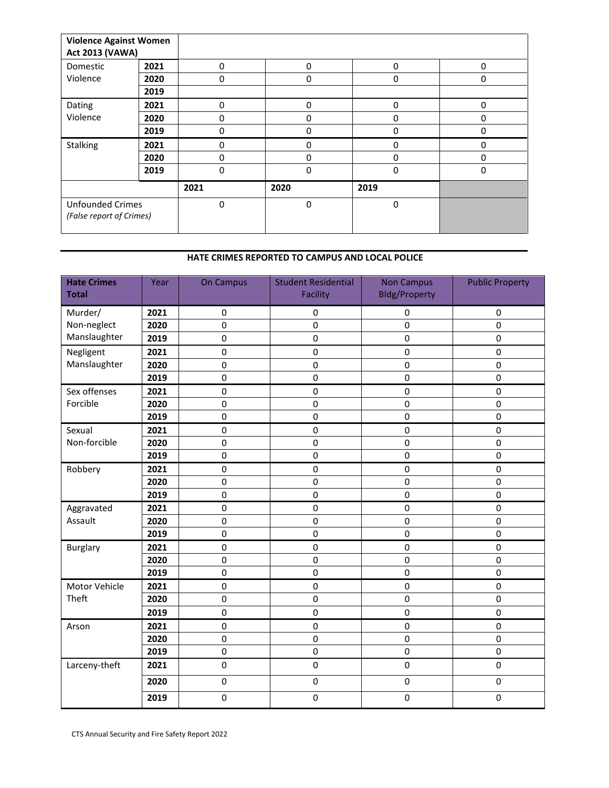| <b>Violence Against Women</b><br><b>Act 2013 (VAWA)</b> |      |             |          |      |   |
|---------------------------------------------------------|------|-------------|----------|------|---|
| Domestic                                                | 2021 | $\Omega$    | 0        | 0    | 0 |
| Violence                                                | 2020 | 0           | 0        | 0    | 0 |
|                                                         | 2019 |             |          |      |   |
| Dating                                                  | 2021 | 0           | 0        | 0    | 0 |
| Violence                                                | 2020 | 0           | 0        | 0    | 0 |
|                                                         | 2019 | 0           | 0        | 0    | 0 |
| Stalking                                                | 2021 | 0           | $\Omega$ | 0    | 0 |
|                                                         | 2020 | 0           | 0        | 0    | 0 |
|                                                         | 2019 | $\Omega$    | $\Omega$ | 0    | 0 |
|                                                         |      | 2021        | 2020     | 2019 |   |
| <b>Unfounded Crimes</b><br>(False report of Crimes)     |      | $\mathbf 0$ | 0        | 0    |   |

#### **HATE CRIMES REPORTED TO CAMPUS AND LOCAL POLICE**

| <b>Hate Crimes</b><br><b>Total</b> | Year | <b>On Campus</b> | <b>Student Residential</b><br>Facility | <b>Non Campus</b><br><b>Bldg/Property</b> | <b>Public Property</b> |
|------------------------------------|------|------------------|----------------------------------------|-------------------------------------------|------------------------|
| Murder/                            | 2021 | $\pmb{0}$        | $\pmb{0}$                              | $\pmb{0}$                                 | $\pmb{0}$              |
| Non-neglect                        | 2020 | $\mathbf 0$      | $\mathbf 0$                            | $\mathbf 0$                               | $\pmb{0}$              |
| Manslaughter                       | 2019 | $\mathbf 0$      | 0                                      | 0                                         | $\mathbf 0$            |
| Negligent                          | 2021 | $\mathbf 0$      | 0                                      | $\mathbf 0$                               | 0                      |
| Manslaughter                       | 2020 | $\mathbf 0$      | 0                                      | $\mathbf 0$                               | $\mathbf 0$            |
|                                    | 2019 | $\mathbf 0$      | $\mathbf 0$                            | $\mathbf 0$                               | $\mathbf 0$            |
| Sex offenses                       | 2021 | $\pmb{0}$        | 0                                      | $\pmb{0}$                                 | $\pmb{0}$              |
| Forcible                           | 2020 | $\mathbf 0$      | $\mathsf 0$                            | $\mathbf 0$                               | $\pmb{0}$              |
|                                    | 2019 | $\mathbf 0$      | 0                                      | $\mathbf 0$                               | $\mathbf 0$            |
| Sexual                             | 2021 | $\pmb{0}$        | 0                                      | $\pmb{0}$                                 | $\pmb{0}$              |
| Non-forcible                       | 2020 | $\mathbf 0$      | 0                                      | $\mathbf 0$                               | $\mathbf 0$            |
|                                    | 2019 | $\mathbf 0$      | $\mathbf 0$                            | $\mathbf 0$                               | $\mathbf 0$            |
| Robbery                            | 2021 | $\pmb{0}$        | 0                                      | $\mathbf 0$                               | $\mathbf 0$            |
|                                    | 2020 | $\pmb{0}$        | $\mathsf 0$                            | $\pmb{0}$                                 | $\pmb{0}$              |
|                                    | 2019 | $\mathbf 0$      | $\mathbf 0$                            | $\mathbf 0$                               | $\mathbf 0$            |
| Aggravated                         | 2021 | 0                | 0                                      | $\pmb{0}$                                 | $\pmb{0}$              |
| Assault                            | 2020 | $\mathbf 0$      | 0                                      | $\mathbf 0$                               | $\mathbf 0$            |
|                                    | 2019 | 0                | 0                                      | 0                                         | $\mathbf 0$            |
| <b>Burglary</b>                    | 2021 | $\pmb{0}$        | $\mathbf 0$                            | $\pmb{0}$                                 | $\pmb{0}$              |
|                                    | 2020 | $\mathbf 0$      | $\pmb{0}$                              | $\pmb{0}$                                 | $\pmb{0}$              |
|                                    | 2019 | $\mathbf 0$      | $\mathbf 0$                            | $\mathbf 0$                               | $\pmb{0}$              |
| Motor Vehicle                      | 2021 | $\mathbf 0$      | 0                                      | $\mathbf 0$                               | $\mathbf 0$            |
| Theft                              | 2020 | $\mathbf 0$      | 0                                      | $\mathbf 0$                               | $\mathbf 0$            |
|                                    | 2019 | $\mathbf 0$      | 0                                      | 0                                         | 0                      |
| Arson                              | 2021 | $\pmb{0}$        | 0                                      | $\pmb{0}$                                 | $\pmb{0}$              |
|                                    | 2020 | $\mathbf 0$      | 0                                      | 0                                         | $\mathbf 0$            |
|                                    | 2019 | $\mathbf 0$      | $\mathbf 0$                            | $\mathbf 0$                               | $\pmb{0}$              |
| Larceny-theft                      | 2021 | $\mathbf 0$      | 0                                      | $\pmb{0}$                                 | $\pmb{0}$              |
|                                    | 2020 | $\pmb{0}$        | $\pmb{0}$                              | $\pmb{0}$                                 | $\pmb{0}$              |
|                                    | 2019 | $\pmb{0}$        | $\mathsf 0$                            | $\pmb{0}$                                 | $\pmb{0}$              |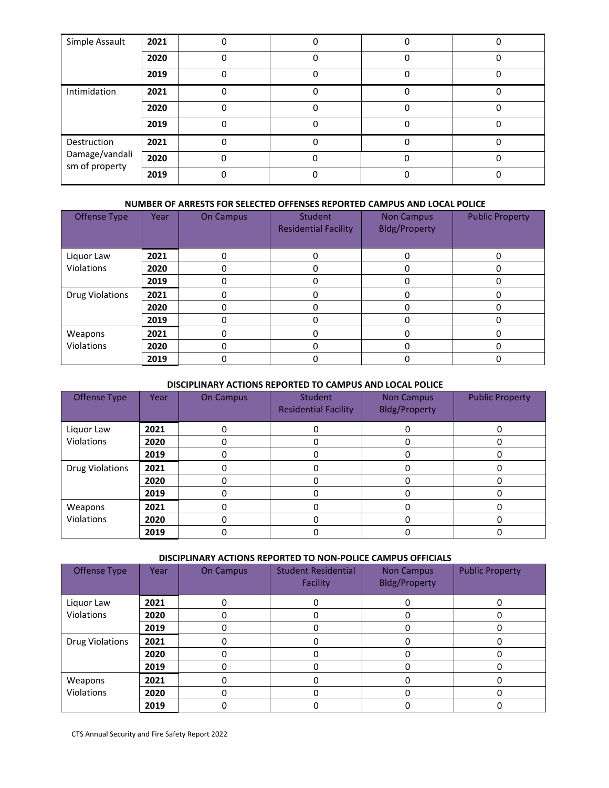| Simple Assault                   | 2021 |   |   |   |              |
|----------------------------------|------|---|---|---|--------------|
|                                  | 2020 | ŋ |   | O | <sup>0</sup> |
|                                  | 2019 |   | n | O | ŋ            |
| Intimidation                     | 2021 |   |   |   |              |
|                                  | 2020 |   |   |   |              |
|                                  | 2019 |   |   |   |              |
| Destruction                      | 2021 |   |   |   |              |
| Damage/vandali<br>sm of property | 2020 |   |   |   |              |
|                                  | 2019 |   |   |   |              |

#### **NUMBER OF ARRESTS FOR SELECTED OFFENSES REPORTED CAMPUS AND LOCAL POLICE**

| <b>Offense Type</b>    | Year | <b>On Campus</b> | Student<br><b>Residential Facility</b> | <b>Non Campus</b><br><b>Bldg/Property</b> | <b>Public Property</b> |
|------------------------|------|------------------|----------------------------------------|-------------------------------------------|------------------------|
| Liquor Law             | 2021 |                  |                                        | n                                         | 0                      |
| Violations             | 2020 |                  |                                        | 0                                         | 0                      |
|                        | 2019 |                  |                                        | 0                                         | ŋ                      |
| <b>Drug Violations</b> | 2021 |                  |                                        |                                           |                        |
|                        | 2020 |                  |                                        |                                           |                        |
|                        | 2019 |                  |                                        |                                           |                        |
| Weapons                | 2021 |                  |                                        |                                           |                        |
| Violations             | 2020 |                  |                                        |                                           |                        |
|                        | 2019 |                  |                                        |                                           |                        |

#### **DISCIPLINARY ACTIONS REPORTED TO CAMPUS AND LOCAL POLICE**

| Offense Type           | Year | <b>On Campus</b> | Student<br><b>Residential Facility</b> | <b>Non Campus</b><br><b>Bldg/Property</b> | <b>Public Property</b> |
|------------------------|------|------------------|----------------------------------------|-------------------------------------------|------------------------|
| Liquor Law             | 2021 |                  |                                        |                                           |                        |
| Violations             | 2020 |                  |                                        |                                           |                        |
|                        | 2019 |                  |                                        |                                           |                        |
| <b>Drug Violations</b> | 2021 |                  |                                        |                                           |                        |
|                        | 2020 |                  |                                        |                                           | ი                      |
|                        | 2019 |                  |                                        |                                           |                        |
| Weapons                | 2021 |                  |                                        |                                           |                        |
| Violations             | 2020 |                  |                                        |                                           |                        |
|                        | 2019 |                  |                                        |                                           |                        |

#### **DISCIPLINARY ACTIONS REPORTED TO NON-POLICE CAMPUS OFFICIALS**

| Offense Type           | Year | <b>On Campus</b> | <b>Student Residential</b><br>Facility | <b>Non Campus</b><br><b>Bldg/Property</b> | <b>Public Property</b> |
|------------------------|------|------------------|----------------------------------------|-------------------------------------------|------------------------|
| Liquor Law             | 2021 |                  |                                        |                                           | 0                      |
| <b>Violations</b>      | 2020 |                  |                                        |                                           | o                      |
|                        | 2019 |                  |                                        |                                           |                        |
| <b>Drug Violations</b> | 2021 |                  |                                        |                                           | 0                      |
|                        | 2020 |                  |                                        |                                           | 0                      |
|                        | 2019 |                  |                                        |                                           | 0                      |
| Weapons                | 2021 | O                |                                        |                                           | 0                      |
| Violations             | 2020 |                  |                                        |                                           | n                      |
|                        | 2019 |                  |                                        |                                           |                        |

CTS Annual Security and Fire Safety Report 2022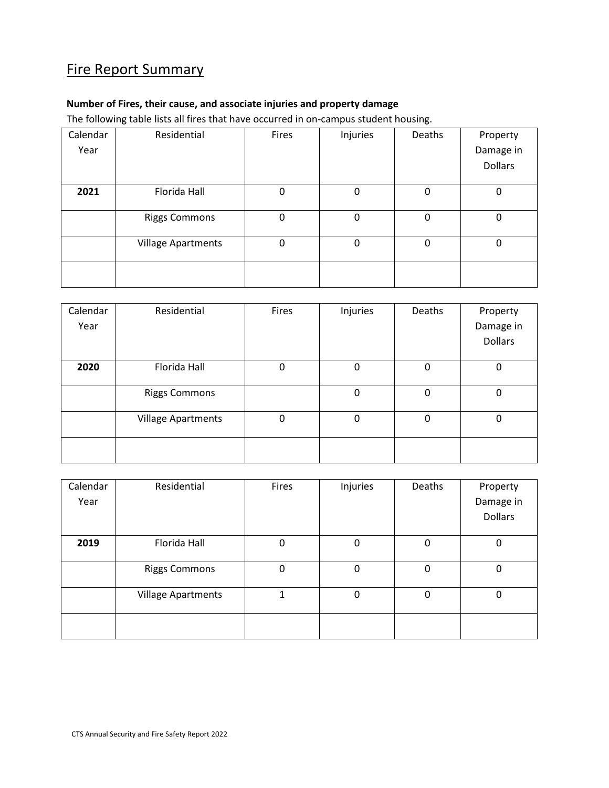# Fire Report Summary

# **Number of Fires, their cause, and associate injuries and property damage**

The following table lists all fires that have occurred in on-campus student housing.

| Calendar | Residential               | Fires       | Injuries    | Deaths      | Property       |
|----------|---------------------------|-------------|-------------|-------------|----------------|
| Year     |                           |             |             |             | Damage in      |
|          |                           |             |             |             | <b>Dollars</b> |
| 2021     | Florida Hall              | 0           | 0           | $\mathbf 0$ | 0              |
|          | <b>Riggs Commons</b>      | $\mathbf 0$ | $\mathbf 0$ | 0           | 0              |
|          | <b>Village Apartments</b> | 0           | 0           | 0           | 0              |
|          |                           |             |             |             |                |

| Calendar | Residential               | Fires | Injuries    | Deaths   | Property  |
|----------|---------------------------|-------|-------------|----------|-----------|
| Year     |                           |       |             |          | Damage in |
|          |                           |       |             |          | Dollars   |
| 2020     | Florida Hall              | 0     | 0           | $\Omega$ | 0         |
|          | <b>Riggs Commons</b>      |       | 0           | 0        | 0         |
|          | <b>Village Apartments</b> | 0     | $\mathbf 0$ | 0        | 0         |
|          |                           |       |             |          |           |

| Calendar | Residential               | Fires | Injuries | Deaths      | Property       |
|----------|---------------------------|-------|----------|-------------|----------------|
| Year     |                           |       |          |             | Damage in      |
|          |                           |       |          |             | <b>Dollars</b> |
| 2019     | Florida Hall              | 0     | 0        | $\mathbf 0$ | 0              |
|          | <b>Riggs Commons</b>      | 0     | 0        | $\Omega$    | 0              |
|          | <b>Village Apartments</b> | 1     | 0        | $\mathbf 0$ | 0              |
|          |                           |       |          |             |                |